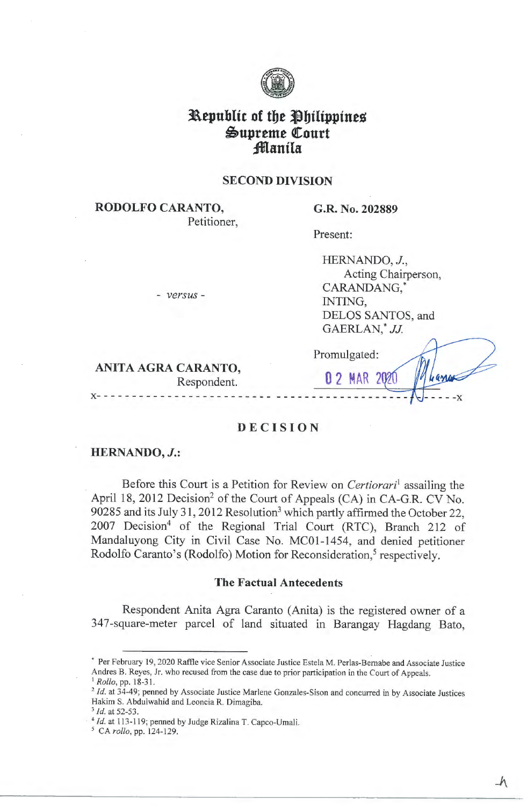

# **3L\.epublfc of** *tbt* **tlbtltpptneg Supreme Court ;fflantla**

#### **SECOND DIVISION**

**RODOLFO CARANTO,**  Petitioner,

#### **G.R. No. 202889**

Present:

| HERNANDO, J.,       |
|---------------------|
| Acting Chairperson, |
| CARANDANG.*         |
| INTING.             |
| DELOS SANTOS, and   |
| GAERLAN,* JJ.       |
|                     |

**ANITA AGRA CARANTO,**<br>Respondent. 0 2 MAR 20 Respondent.

- *versus* -

Promulgated:

#### **DECISION**

- - - - - - - - - - - - - - - - - - - - - - - - - - - - - - - - - - - - - - - - - - -

#### **HERNANDO,** *J.:*

**x-**

Before this Court is a Petition for Review on *Certiorari*<sup>1</sup>assailing the April 18, 2012 Decision<sup>2</sup> of the Court of Appeals (CA) in CA-G.R. CV No. 90285 and its July 31, 2012 Resolution<sup>3</sup> which partly affirmed the October 22, 2007 Decision<sup>4</sup> of the Regional Trial Court (RTC), Branch 212 of Mandaluyong City in Civil Case No. MC0l-1454, and denied petitioner Rodolfo Caranto's (Rodolfo) Motion for Reconsideration,<sup>5</sup> respectively.

#### **The Factual Antecedents**

Respondent Anita Agra Caranto (Anita) is the registered owner of a 347-square-meter parcel of land situated in Barangay Hagdang Bato,

<sup>•</sup> Per February 19, 2020 Raffle vice Senior Associate Justice Estela M. Perlas-Bernabe and Associate Justice Andres B. Reyes, Jr. who recused from the case due to prior participation in the Court of Appeals. <sup>1</sup>*Rollo,* pp. 18-31.

<sup>&</sup>lt;sup>2</sup> Id. at 34-49; penned by Associate Justice Marlene Gonzales-Sison and concurred in by Associate Justices Hakim S. Abdulwahid and Leoncia R. Dimagiba.

<sup>3</sup>*Id.* at 52-53.

<sup>&</sup>lt;sup>4</sup> Id. at 113-119; penned by Judge Rizalina T. Capco-Umali.

*<sup>5</sup>*CA *rollo,* pp. 124-129.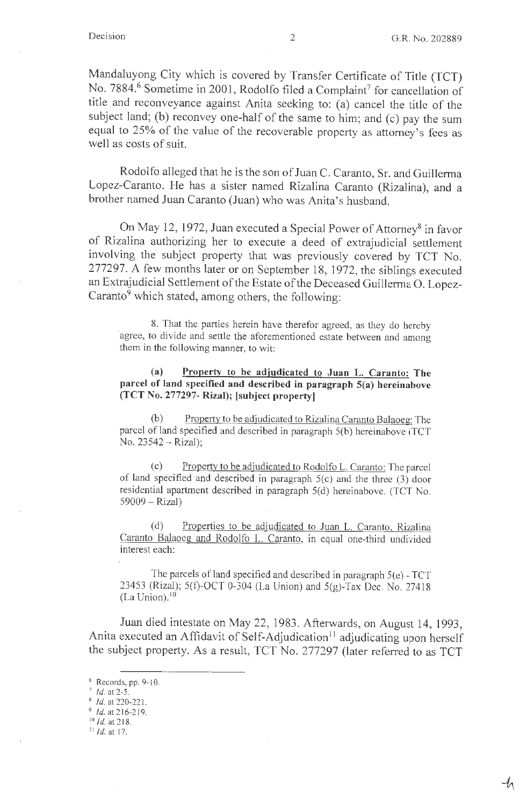$-1\hskip-3.5pt\ell$ 

Mandaluyong City which is covered by Transfer Certificate of Title (TCT) No. 7884.<sup>6</sup> Sometime in 2001, Rodolfo filed a Complaint<sup>7</sup> for cancellation of title and reconveyance against Anita seeking to: (a) cancel the title of the subject land; (b) reconvey one-half of the same to him; and (c) pay the sum equal to 25% of the value of the recoverable property as attorney's fees as well as costs of suit.

Rodolfo alleged that he is the son of Juan C. Caranto, Sr. and Guillerma Lopez-Caranto. He has a sister named Rizalina Caranto (Rizalina), and a brother named Juan Caranto (Juan) who was Anita's husband.

On May 12, 1972, Juan executed a Special Power of Attorney<sup>8</sup> in favor of Rizalina authorizing her to execute a deed of extrajudicial settlement involving the subject property that was previously covered by TCT No. 277297. A few months later or on September 18, 1972, the siblings executed an Extrajudicial Settlement of the Estate of the Deceased Guillerma O. Lopez-Caranto $9$  which stated, among others, the following:

8. That the parties herein have therefor agreed, as they do hereby agree, to divide and settle the aforementioned estate between and among them in the following manner, to wit:

**(a) Property to be adjudicated to Juan L. Caranto: The parcel of land specified and described in paragraph S(a) hereinabove (TCT No. 277297- Rizal); [subject property]** 

(b) Property to be adjudicated to Rizalina Caranto Balaoeg: The parcel of land specified and described in paragraph 5(b) hereinabove (TCT No. 23542 - Rizal);

(c) Property to be adjudicated to Rodolfo L. Caranto: The parcel of land specified and described in paragraph 5(c) and the three (3) door residential apartment described in paragraph 5(d) hereinabove. (TCT No. 59009 - Rizal)

(d) Properties to be adjudicated to Juan L. Caranto. Rizalina Caranto Balaoeg and Rodolfo L. Caranto, in equal one-third undivided interest each:

The parcels of land specified and described in paragraph 5(e) - TCT 23453 (Rizal); 5(f)-OCT 0-304 (La Union) and 5(g)-Tax Dec. No. 27418  $(La Union).$ <sup>10</sup>

Juan died intestate on May 22, 1983. Afterwards, on August 14, 1993, Anita executed an Affidavit of Self-Adjudication<sup>11</sup> adjudicating upon herself the subject property. As a result, TCT No. 277297 (later referred to as TCT

 $11$  *Id.* at 17.

 $6$  Records, pp. 9-10.

 $^7$  *Id.* at 2-5.

<sup>8</sup>*Id.* at 220-221.

 $9$  Id. at 216-219.

 $^{10}$  *Id.* at 218.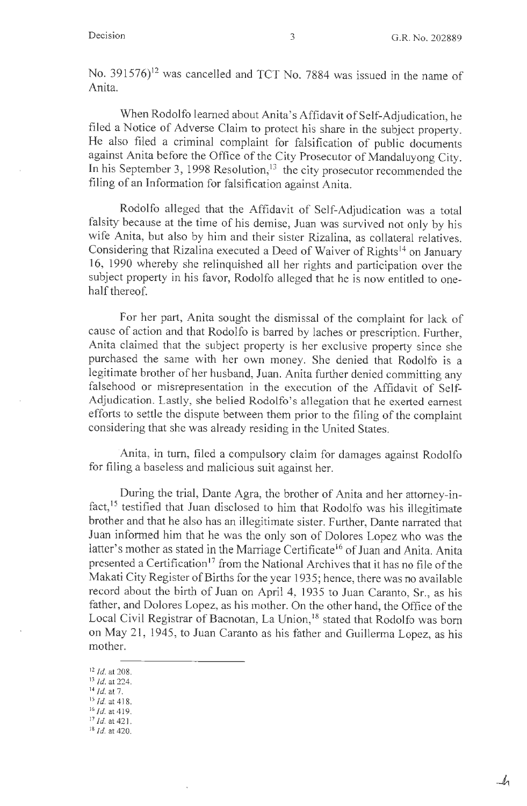$-1\!\!1$ 

No. 391576)<sup>12</sup> was cancelled and TCT No. 7884 was issued in the name of Anita.

When Rodolfo learned about Anita's Affidavit of Self-Adjudication, he filed a Notice of Adverse Claim to protect his share in the subject property. He also filed a criminal complaint for falsification of public documents against Anita before the Office of the City Prosecutor of Mandaluyong City. In his September 3, 1998 Resolution,  $13$  the city prosecutor recommended the filing of an Information for falsification against Anita.

Rodolfo alleged that the Affidavit of Self-Adjudication was a total falsity because at the time of his demise, Juan was survived not only by his wife Anita, but also by him and their sister Rizalina, as collateral relatives. Considering that Rizalina executed a Deed of Waiver of Rights<sup>14</sup> on January 16, 1990 whereby she relinquished all her rights and participation over the subject property in his favor, Rodolfo alleged that he is now entitled to onehalf thereof.

For her part, Anita sought the dismissal of the complaint for lack of cause of action and that Rodolfo is barred by laches or prescription. Further, Anita claimed that the subject property is her exclusive property since she purchased the same with her own money. She denied that Rodolfo is a legitimate brother of her husband, Juan. Anita further denied committing any falsehood or misrepresentation in the execution of the Affidavit of Self-Adjudication. Lastly, she belied Rodolfo's allegation that he exerted earnest efforts to settle the dispute between them prior to the filing of the complaint considering that she was already residing in the United States.

Anita, in turn, filed a compulsory claim for damages against Rodolfo for filing a baseless and malicious suit against her.

During the trial, Dante Agra, the brother of Anita and her attorney-infact,<sup>15</sup> testified that Juan disclosed to him that Rodolfo was his illegitimate brother and that he also has an illegitimate sister. Further, Dante narrated that Juan informed him that he was the only son of Dolores Lopez who was the latter's mother as stated in the Marriage Certificate<sup>16</sup> of Juan and Anita. Anita presented a Certification<sup>17</sup> from the National Archives that it has no file of the Makati City Register of Births for the year 1935; hence, there was no available record about the birth of Juan on April 4, 1935 to Juan Caranto, Sr., as his father, and Dolores Lopez, as his mother. On the other hand, the Office of the Local Civil Registrar of Bacnotan, La Union,<sup>18</sup> stated that Rodolfo was born on May 21, 1945, to Juan Caranto as his father and Guillerma Lopez, as his mother.

<sup>12</sup>*Id.* at 208.

<sup>13</sup>*Id.* at 224.

<sup>14</sup>*Id.* at 7.

<sup>&</sup>lt;sup>15</sup> *Id.* at 418.

<sup>16</sup>*Id.* at 419.

<sup>17</sup>*Id.* at 42 1.

<sup>18</sup>*Id.* at 420.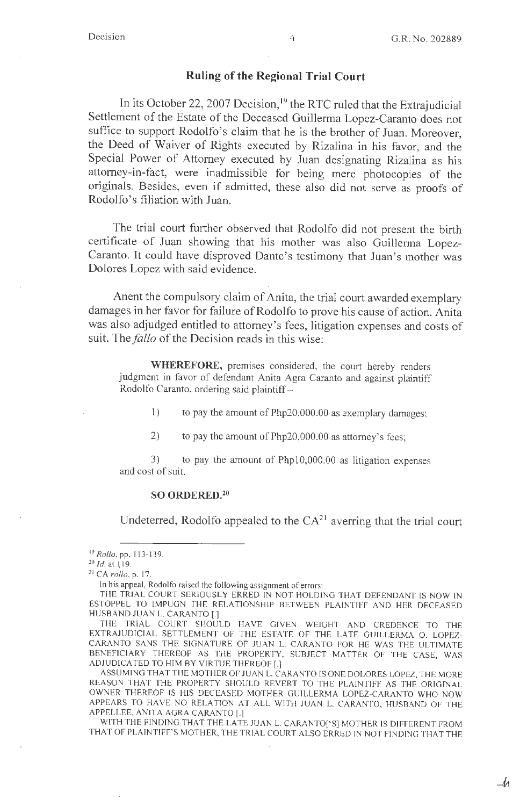-11

#### **Ruling of the Regional Trial Court**

In its October 22, 2007 Decision,<sup>19</sup> the RTC ruled that the Extrajudicial Settlement of the Estate of the Deceased Guillerma Lopez-Caranto does not suffice to support Rodolfo's claim that he is the brother of Juan. Moreover, the Deed of Waiver of Rights executed by Rizalina in his favor, and the Special Power of Attorney executed by Juan designating Rizalina as his attorney-in-fact, were inadmissible for being mere photocopies of the originals. Besides, even if admitted, these also did not serve as proofs of Rodolfo's filiation with Juan.

The trial court further observed that Rodolfo did not present the birth certificate of Juan showing that his mother was also Guillerma Lopez-Caranto. It could have disproved Dante's testimony that Juan's mother was Dolores Lopez with said evidence.

Anent the compulsory claim of Anita, the trial court awarded exemplary damages in her favor for failure of Rodolfo to prove his cause of action. Anita was also adjudged entitled to attorney's fees, litigation expenses and costs of suit. The *fallo* of the Decision reads in this wise:

**WHEREFORE,** premises considered, the court hereby renders judgment in favor of defendant Anita Agra Caranto and against plaintiff Rodolfo Caranto, ordering said plaintiff -

1) to pay the amount of Php20,000.00 as exemplary damages;

2) to pay the amount of Php20,000.00 as attorney's fees;

3) to pay the amount of Phpl0,000.00 as litigation expenses and cost of suit.

#### **SO ORDERED.<sup>20</sup>**

Undeterred, Rodolfo appealed to the  $CA<sup>21</sup>$  averring that the trial court

ASSUMING THAT THE MOTHER OF JUAN L. CARANTO IS ONE DOLORES LOPEZ, THE MORE REASON THAT THE PROPERTY SHOULD REVERT TO THE PLAINTIFF AS THE ORJGINAL OWNER THEREOF IS HIS DECEASED MOTHER GUILLERMA LOPEZ-CARANTO WHO NOW APPEARS TO HAVE NO RELATION AT ALL WITH JUAN L. CARANTO, HUSBAND OF THE APPELLEE, ANITA AGRA CARANTO [.]

WITH THE FINDING THAT THE LATE JUAN L. CARANTO['S] MOTHER IS DIFFERENT FROM THAT OF PLAINTIFF'S MOTHER, THE TRIAL COURT ALSO ERRED IN NOT FINDING THAT THE

<sup>&</sup>lt;sup>19</sup> Rollo, pp. 113-119.

<sup>20</sup>*Id.* at l 19.

<sup>&</sup>lt;sup>21</sup> CA rollo, p. 17.

In his appeal, Rodolfo raised the following assignment of errors:

THE TRJAL COURT SERJOUSLY ERRED IN NOT HOLDING THAT DEFENDANT LS NOW IN ESTOPPEL TO IMPUGN THE RELATIONSHIP BETWEEN PLAINTIFF AND HER DECEASED HUSBAND JUAN L. CARANTO [.]

THE TRIAL COURT SHOULD HA VE GIVEN WEIGHT AND CREDENCE TO THE EXTRAJUDICIAL SETTLEMENT OF THE ESTATE OF THE LATE GUILLERMA O. LOPEZ-CARANTO SANS THE SIGNATURE OF JUAN L. CARANTO FOR HE WAS THE ULTIMATE BENEFICIARY THEREOF AS THE PROPERTY, SUBJECT MATTER OF THE CASE, WAS ADJUDICATED TO HIM BY VIRTUE THEREOF[.]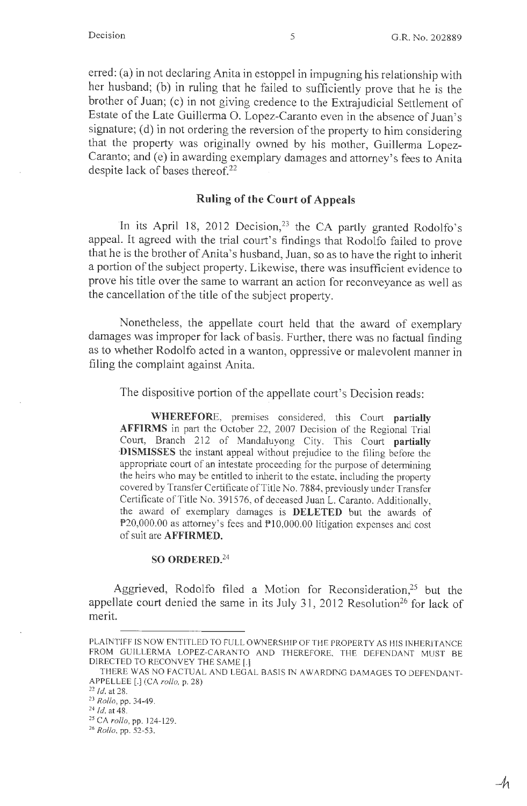*-4.* 

erred: (a) in not declaring Anita in estoppel in impugning his relationship with her husband; (b) in ruling that he failed to sufficiently prove that he is the brother of Juan; (c) in not giving credence to the Extrajudicial Settlement of Estate of the Late Guillerma 0. Lopez-Caranto even in the absence of Juan's signature; (d) in not ordering the reversion of the property to him considering that the property was originally owned by his mother, Guillerma Lopez-Caranto; and (e) in awarding exemplary damages and attorney's fees to Anita despite lack of bases thereof.<sup>22</sup>

#### **Ruling of the Court of Appeals**

In its April 18, 2012 Decision,<sup>23</sup> the CA partly granted Rodolfo's appeal. It agreed with the trial court's findings that Rodolfo failed to prove that he is the brother of Anita's husband, Juan, so as to have the right to inherit a portion of the subject property. Likewise, there was insufficient evidence to prove his title over the same to warrant an action for reconveyance as well as the cancellation of the title of the subject property.

Nonetheless, the appellate court held that the award of exemplary damages was improper for lack of basis. Further, there was no factual finding as to whether Rodolfo acted in a wanton, oppressive or malevolent manner in filing the complaint against Anita.

The dispositive portion of the appellate court's Decision reads:

**WHEREFORE,** premises considered, this Court **partially AFFIRMS** in part the October 22, 2007 Decision of the Regional Trial Court, Branch 212 of Mandaluyong City. This Court **partially ·DISMISSES** the instant appeal without prejudice to the filing before the appropriate court of an intestate proceeding for the purpose of determining the heirs who may be entitled to inherit to the estate, including the property covered by Transfer Certificate of Title No. 7884, previously under Transfer Certificate of Title No. 391576, of deceased Juan L. Caranto. Additionally, the award of exemplary damages is **DELETED** but the awards of P20,000.00 as attorney's fees and PI0,000.00 litigation expenses and cost of suit are **AFFIRMED.** 

#### **SO ORDERED.<sup>24</sup>**

Aggrieved, Rodolfo filed a Motion for Reconsideration,<sup>25</sup> but the appellate court denied the same in its July 31, 2012 Resolution<sup>26</sup> for lack of merit.

PLAINTIFF IS NOW ENTITLED TO FULL OWNERSHIP OF THE PROPERTY AS HIS INHERJTANCE FROM GUILLERMA LOPEZ-CARANTO AND THEREFORE, THE DEFENDANT MUST BE DIRECTED TO RECONVEY THE SAME [.]

THERE WAS NO FACTUAL AND LEGAL BASIS IN AWARDING DAMAGES TO DEFENDANT-APPELLEE [.] (CA *rollo,* p. 28)

 $22$  *Id.* at 28.

<sup>23</sup>*Rollo,* pp. 34-49.

<sup>&</sup>lt;sup>24</sup> *Id.* at 48.

<sup>25</sup> CA *rollo,* pp. 124- 129.

<sup>26</sup>*Rollo,* pp. 52-53.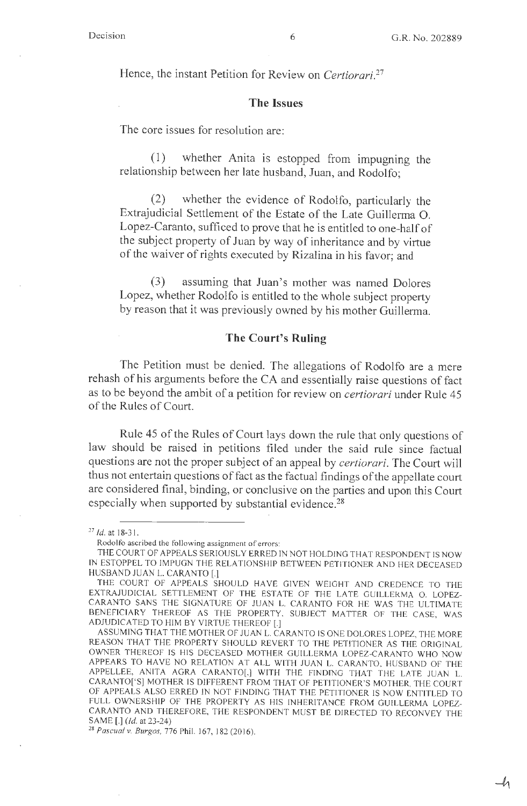$-$ h

Hence, the instant Petition for Review on *Certiorari.<sup>27</sup>*

#### **The Issues**

The core issues for resolution are:

( 1) whether Anita is estopped from impugning the relationship between her late husband, Juan, and Rodolfo;

(2) whether the evidence of Rodolfo, particularly the Extrajudicial Settlement of the Estate of the Late Guillerma 0. Lopez-Caranto, sufficed to prove that he is entitled to one-half of the subject property of Juan by way of inheritance and by virtue of the waiver of rights executed by Rizalina in his favor; and

(3) assuming that Juan's mother was named Dolores Lopez, whether Rodolfo is entitled to the whole subject property by reason that it was previously owned by his mother Guillerma.

#### **The Court's Ruling**

The Petition must be denied. The allegations of Rodolfo are a mere rehash of his arguments before the CA and essentially raise questions of fact as to be beyond the ambit of a petition for review on *certiorari* under Rule 45 of the Rules of Court.

Rule 45 of the Rules of Court lays down the rule that only questions of law should be raised in petitions filed under the said rule since factual questions are not the proper subject of an appeal by *certiorari.* The Court will thus not entertain questions of fact as the factual findings of the appellate court are considered final, binding, or conclusive on the parties and upon this Court especially when supported by substantial evidence.<sup>28</sup>

<sup>28</sup> Pascual v. Burgos, 776 Phil. 167, 182 (2016).

<sup>27</sup>*Id.* at 18-3 1.

Rodolfo ascribed the following assignment of errors:

THE COURT OF APPEALS SERJOUSL Y ERRED IN NOT HOLDING THAT RESPONDENT IS NOW fN ESTOPPEL TO JMPUGN THE RELA TIONSHJP BETWEEN PETITIONER AND HER DECEASED HUSBAND JUAN L. CARANTO [.]

THE COURT OF APPEALS SHOULD HA VE GJVEN WEIGHT AND CREDENCE TO THE EXTRAJUDICIAL SETTLEMENT OF THE ESTATE OF THE LATE GUILLERMA O LOPEZ-CARANTO SANS THE SIGNATURE OF JUAN L. CARANTO FOR HE WAS THE ULTIMATE BENEFICIARY THEREOF AS THE PROPERTY, SUBJECT MATTER OF THE CASE, WAS ADJUDICATED TO HIM BY VIRTUE THEREOF[.]

ASSUMING THAT THE MOTHER OF JUAN L. CARANTO IS ONE DOLORES LOPEZ, THE MORE REASON THAT THE PROPERTY SHOULD REVERT TO THE PETITIONER AS THE ORIGINAL OWNER THEREOF IS HIS DECEASED MOTHER GUILLERMA LOPEZ-CARANTO WHO NOW APPEARS TO HAVE NO RELATION AT ALL WITH JUAN L. CARANTO, HUSBAND OF THE APPELLEE, ANITA AGRA CARANTO[,] WITH THE FINDING THAT THE LATE JUAN L. CARANTO['S] MOTHER IS DIFFERENT FROM THAT OF PETITIONER'S MOTHER, THE COURT OF APPEALS ALSO ERRED IN NOT FINDING THAT THE PETITIONER IS NOW ENTITLED TO FULL OWNERSHIP OF THE PROPERTY AS HIS INHERITANCE FROM GUILLERMA LOPEZ-CARANTO AND THEREFORE, THE RESPONDENT MUST BE DIRECTED TO RECONVEY THE SAME[.] *(Id.* at 23-24)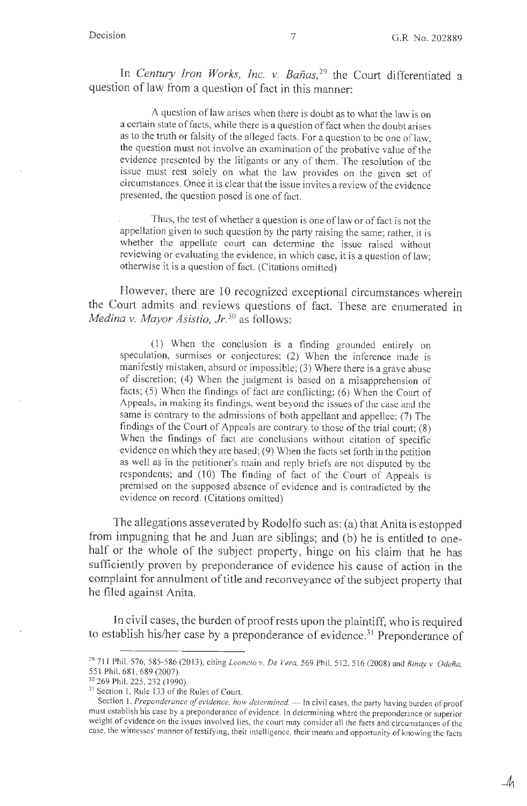In *Century Iron Works*, Inc. v. Bañas,<sup>29</sup> the Court differentiated a question of law from a question of fact in this manner:

A question of law arises when there is doubt as to what the law is on a certain state of facts, while there is a question of fact when the doubt arises as to the truth or falsity of the alleged facts. For a question to be one of law, the question must not involve an examination of the probative value of the evidence presented by the litigants or any of them. The resolution of the issue must rest solely on what the law provides on the given set of circumstances. Once it is clear that the issue invites a review of the evidence presented, the question posed is one of fact.

Thus, the test of whether a question is one of law or of fact is not the appellation given to such question by the party raising the same; rather, it is whether the appellate court can determine the issue raised without reviewing or evaluating the evidence, in which case, it is a question of law; otherwise it is a question of fact. (Citations omitted)

However, there are 10 recognized exceptional circumstances wherein the Court admits and reviews questions of fact. These are enumerated in *Medina v. Mayor Asistio, Jr.* 30 as follows:

(1) When the conclusion is a finding grounded entirely on speculation, surmises or conjectures; (2) When the inference made is manifestly mistaken, absurd or impossible; (3) Where there is a grave abuse of discretion; (4) When the judgment is based on a misapprehension of facts; (5) When the findings of fact are conflicting; (6) When the Court of Appeals, in making its findings, went beyond the issues of the case and the same is contrary to the admissions of both appellant and appellee; (7) The findings of the Court of Appeals are contrary to those of the trial court; (8) When the findings of fact are conclusions without citation of specific evidence on which they are based; (9) When the facts set forth in the petition as well as in the petitioner's main and reply briefs are not disputed by the respondents; and (10) The finding of fact of the Court of Appeals is premised on the supposed absence of evidence and is contradicted by the evidence on record. (Citations omitted)

The allegations asseverated by Rodolfo such as: (a) that Anita is estopped from impugning that he and Juan are siblings; and (b) he is entitled to onehalf or the whole of the subject property, hinge on his claim that he has sufficiently proven by preponderance of evidence his cause of action in the complaint for annulment of title and reconveyance of the subject property that he filed against Anita.

In civil cases, the burden of proof rests upon the plaintiff, who is required to establish his/her case by a preponderance of evidence.<sup>31</sup> Preponderance of

<sup>&</sup>lt;sup>29</sup> 711 Phil. 576, 585-586 (2013), citing *Leoncio v. De Vera*, 569 Phil. 512, 516 (2008) and *Binay v. Odeña*, 551 Phil. 681 , 689 (2007).

<sup>30 269</sup> Phil. 225, 232 ( 1990).

<sup>&</sup>lt;sup>31</sup> Section 1, Rule 133 of the Rules of Court.

Section 1. Preponderance of evidence, how determined. - In civil cases, the party having burden of proof must establish his case by a preponderance of evidence. In determining where the preponderance or superior weight of evidence on the issues involved lies, the court may consider all the facts and circumstances of the case, the witnesses' manner of testifying, their intelligence, their means and opportunity of knowing the facts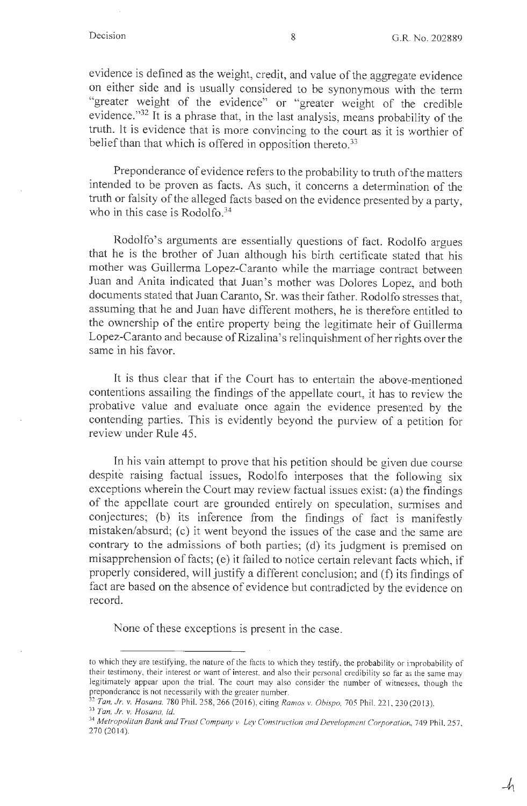$-4<sub>1</sub>$ 

evidence is defined as the weight, credit, and value of the aggregate evidence on either side and is usually considered to be synonymous with the term "greater weight of the evidence" or "greater weight of the credible evidence."32 It is a phrase that, in the last analysis, means probability of the truth. It is evidence that is more convincing to the court as it is worthier of belief than that which is offered in opposition thereto.<sup>33</sup>

Preponderance of evidence refers to the probability to truth of the matters intended to be proven as facts. As such, it concerns a determination of the truth or falsity of the alleged facts based on the evidence presented by a party, who in this case is Rodolfo. $34$ 

Rodolfo's arguments are essentially questions of fact. Rodolfo argues that he is the brother of Juan although his birth certificate stated that his mother was Guillerma Lopez-Caranto while the marriage contract between Juan and Anita indicated that Juan's mother was Dolores Lopez, and both documents stated that Juan Caranto, Sr. was their father. Rodolfo stresses that, assuming that he and Juan have different mothers, he is therefore entitled to the ownership of the entire property being the legitimate heir of Guillerma Lopez-Caranto and because of Rizalina's relinquishment of her rights over the same in his favor.

It is thus clear that if the Court has to entertain the above-mentioned contentions assailing the findings of the appellate court, it has to review the probative value and evaluate once again the evidence presented by the contending parties. This is evidently beyond the purview of a petition for review under Rule 45.

In his vain attempt to prove that his petition should be given due course despite raising factual issues, Rodolfo interposes that the following six exceptions wherein the Court may review factual issues exist: (a) the findings of the appellate court are grounded entirely on speculation, surmises and conjectures; (b) its inference from the findings of fact is manifestly mistaken/absurd; (c) it went beyond the issues of the case and the same are contrary to the admissions of both parties; (d) its judgment is premised on misapprehension of facts; (e) it failed to notice certain relevant facts which, if properly considered, will justify a different conclusion; and (f) its findings of fact are based on the absence of evidence but contradicted by the evidence on record.

None of these exceptions is present in the case.

to which they are testifying, the nature of the facts to which they testify, the probability or improbability of their testimony, their interest or want of interest, and also their personal credibility so far as the same may legitimately appear upon the trial. The court may also consider the number of witnesses, though the preponderance is not necessarily with the greater number.

<sup>32</sup>*Tan, Jr. v. Hosana,* 780 Phil. 258, 266 (20 16), c iting *Ramos v. Obispo,* 705 Phil. 22 1,230 (20 13).

<sup>33</sup>*Tan, Jr. v. Hosana, id.* 

<sup>&</sup>lt;sup>34</sup> Metropolitan Bank and Trust Company v. Ley Construction and Development Corporation, 749 Phil. 257, 270 (2014).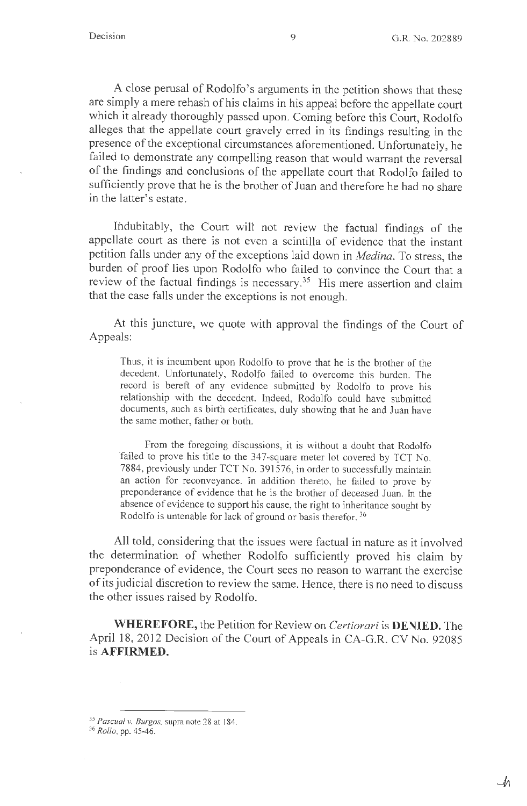$\mathcal{M}$ 

A close perusal of Rodolfo's arguments in the petition shows that these are simply a mere rehash of his claims in his appeal before the appellate court which it already thoroughly passed upon. Coming before this Court, Rodolfo alleges that the appellate court gravely erred in its findings resulting in the presence of the exceptional circumstances aforementioned. Unfortunately, he failed to demonstrate any compelling reason that would warrant the reversal of the findings and conclusions of the appellate court that Rodolfo failed to sufficiently prove that he is the brother of Juan and therefore he had no share in the latter's estate.

Indubitably, the Court will not review the factual findings of the appellate court as there is not even a scintilla of evidence that the instant petition falls under any of the exceptions laid down in *Medina.* To stress, the burden of proof lies upon Rodolfo who failed to convince the Court that a review of the factual findings is necessary.<sup>35</sup> His mere assertion and claim that the case falls under the exceptions is not enough.

At this juncture, we quote with approval the findings of the Court of Appeals:

Thus, it is incumbent upon Rodolfo to prove that he is the brother of the decedent. Unfortunately, Rodolfo failed to overcome this burden. The record is bereft of any evidence submitted by Rodolfo to prove his relationship with the decedent. Indeed, Rodolfo could have submitted documents, such as birth certificates, duly showing that he and Juan have the same mother, father or both.

From the foregoing discussions, it is without a doubt that Rodolfo failed to prove his title to the 347-square meter lot covered by TCT No. 7884, previously under TCT No. 391576, in order to successfully maintain an action for reconveyance. In addition thereto, he failed to prove by preponderance of evidence that he is the brother of deceased Juan. In the absence of evidence to support his cause, the right to inheritance sought by Rodolfo is untenable for lack of ground or basis therefor. 36

All told, considering that the issues were factual in nature as it involved the determination of whether Rodolfo sufficiently proved his claim by preponderance of evidence, the Court sees no reason to warrant the exercise of its judicial discretion to review the same. Hence, there is no need to discuss the other issues raised by Rodolfo.

**WHEREFORE,** the Petition for Review on *Certiorari* is **DENIED.** The April 18, 2012 Decision of the Court of Appeals in CA-G.R. CV No. 92085 is **AFFIRMED.** 

<sup>35</sup>*Pascual v. Burgos,* supra note 28 at 184.

<sup>36</sup>*Rollo,* pp. 45-46.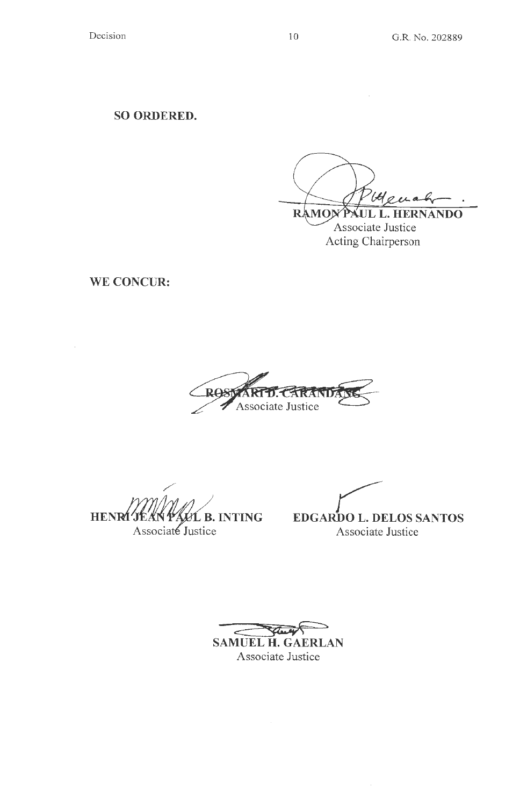~-RAMON

PAUL L. HERNANDO , Associate Justice Acting Chairperson

**WE CONCUR:** 

**RAS** ARTD. Associate Justice

/ **HE**  Associaté Justice

*r*  **B. INTING EDGARDO L. DELOS SANTOS**  Associate Justice

c::::::~ **SAMUEL H. GAERLAN**  Associate Justice

10 G.R. No. 202889